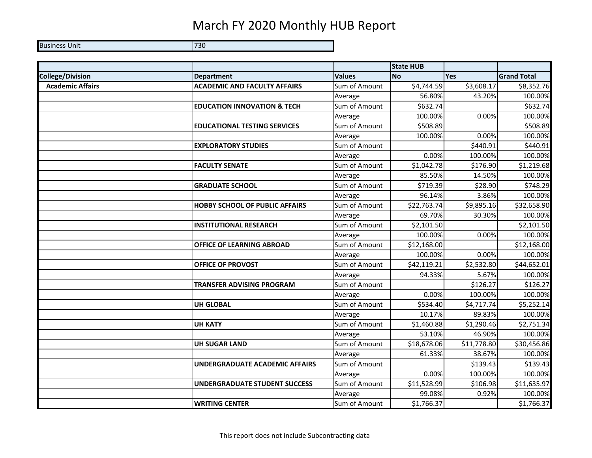## March FY 2020 Monthly HUB Report

Business Unit **730** 

|                         |                                        |               | <b>State HUB</b> |             |                    |
|-------------------------|----------------------------------------|---------------|------------------|-------------|--------------------|
| <b>College/Division</b> | <b>Department</b>                      | <b>Values</b> | <b>No</b>        | Yes         | <b>Grand Total</b> |
| <b>Academic Affairs</b> | <b>ACADEMIC AND FACULTY AFFAIRS</b>    | Sum of Amount | \$4,744.59       | \$3,608.17  | \$8,352.76         |
|                         |                                        | Average       | 56.80%           | 43.20%      | 100.00%            |
|                         | <b>EDUCATION INNOVATION &amp; TECH</b> | Sum of Amount | \$632.74         |             | \$632.74           |
|                         |                                        | Average       | 100.00%          | 0.00%       | 100.00%            |
|                         | <b>EDUCATIONAL TESTING SERVICES</b>    | Sum of Amount | \$508.89         |             | \$508.89           |
|                         |                                        | Average       | 100.00%          | 0.00%       | 100.00%            |
|                         | <b>EXPLORATORY STUDIES</b>             | Sum of Amount |                  | \$440.91    | \$440.91           |
|                         |                                        | Average       | 0.00%            | 100.00%     | 100.00%            |
|                         | <b>FACULTY SENATE</b>                  | Sum of Amount | \$1,042.78       | \$176.90    | \$1,219.68         |
|                         |                                        | Average       | 85.50%           | 14.50%      | 100.00%            |
|                         | <b>GRADUATE SCHOOL</b>                 | Sum of Amount | \$719.39         | \$28.90     | \$748.29           |
|                         |                                        | Average       | 96.14%           | 3.86%       | 100.00%            |
|                         | <b>HOBBY SCHOOL OF PUBLIC AFFAIRS</b>  | Sum of Amount | \$22,763.74      | \$9,895.16  | \$32,658.90        |
|                         |                                        | Average       | 69.70%           | 30.30%      | 100.00%            |
|                         | <b>INSTITUTIONAL RESEARCH</b>          | Sum of Amount | \$2,101.50       |             | \$2,101.50         |
|                         |                                        | Average       | 100.00%          | 0.00%       | 100.00%            |
|                         | <b>OFFICE OF LEARNING ABROAD</b>       | Sum of Amount | \$12,168.00      |             | \$12,168.00        |
|                         |                                        | Average       | 100.00%          | 0.00%       | 100.00%            |
|                         | OFFICE OF PROVOST                      | Sum of Amount | \$42,119.21      | \$2,532.80  | \$44,652.01        |
|                         |                                        | Average       | 94.33%           | 5.67%       | 100.00%            |
|                         | <b>TRANSFER ADVISING PROGRAM</b>       | Sum of Amount |                  | \$126.27    | \$126.27           |
|                         |                                        | Average       | 0.00%            | 100.00%     | 100.00%            |
|                         | <b>UH GLOBAL</b>                       | Sum of Amount | \$534.40         | \$4,717.74  | \$5,252.14         |
|                         |                                        | Average       | 10.17%           | 89.83%      | 100.00%            |
|                         | <b>UH KATY</b>                         | Sum of Amount | \$1,460.88       | \$1,290.46  | \$2,751.34         |
|                         |                                        | Average       | 53.10%           | 46.90%      | 100.00%            |
|                         | <b>UH SUGAR LAND</b>                   | Sum of Amount | \$18,678.06      | \$11,778.80 | \$30,456.86        |
|                         |                                        | Average       | 61.33%           | 38.67%      | 100.00%            |
|                         | UNDERGRADUATE ACADEMIC AFFAIRS         | Sum of Amount |                  | \$139.43    | \$139.43           |
|                         |                                        | Average       | 0.00%            | 100.00%     | 100.00%            |
|                         | <b>UNDERGRADUATE STUDENT SUCCESS</b>   | Sum of Amount | \$11,528.99      | \$106.98    | \$11,635.97        |
|                         |                                        | Average       | 99.08%           | 0.92%       | 100.00%            |
|                         | <b>WRITING CENTER</b>                  | Sum of Amount | \$1,766.37       |             | \$1,766.37         |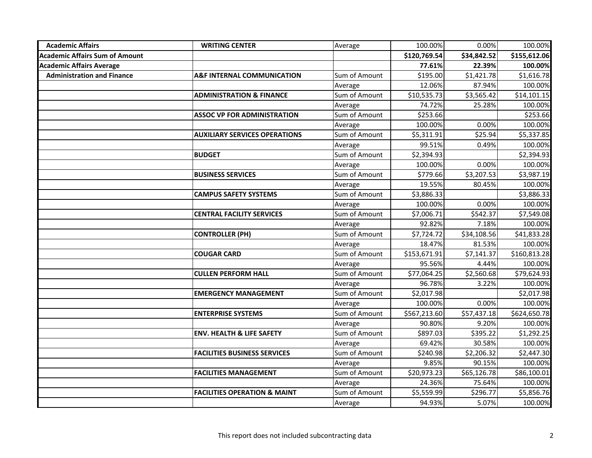| <b>Academic Affairs</b>               | <b>WRITING CENTER</b>                   | Average       | 100.00%      | 0.00%       | 100.00%      |
|---------------------------------------|-----------------------------------------|---------------|--------------|-------------|--------------|
| <b>Academic Affairs Sum of Amount</b> |                                         |               | \$120,769.54 | \$34,842.52 | \$155,612.06 |
| <b>Academic Affairs Average</b>       |                                         |               | 77.61%       | 22.39%      | 100.00%      |
| <b>Administration and Finance</b>     | A&F INTERNAL COMMUNICATION              | Sum of Amount | \$195.00     | \$1,421.78  | \$1,616.78   |
|                                       |                                         | Average       | 12.06%       | 87.94%      | 100.00%      |
|                                       | <b>ADMINISTRATION &amp; FINANCE</b>     | Sum of Amount | \$10,535.73  | \$3,565.42  | \$14,101.15  |
|                                       |                                         | Average       | 74.72%       | 25.28%      | 100.00%      |
|                                       | <b>ASSOC VP FOR ADMINISTRATION</b>      | Sum of Amount | \$253.66     |             | \$253.66     |
|                                       |                                         | Average       | 100.00%      | 0.00%       | 100.00%      |
|                                       | <b>AUXILIARY SERVICES OPERATIONS</b>    | Sum of Amount | \$5,311.91   | \$25.94     | \$5,337.85   |
|                                       |                                         | Average       | 99.51%       | 0.49%       | 100.00%      |
|                                       | <b>BUDGET</b>                           | Sum of Amount | \$2,394.93   |             | \$2,394.93   |
|                                       |                                         | Average       | 100.00%      | 0.00%       | 100.00%      |
|                                       | <b>BUSINESS SERVICES</b>                | Sum of Amount | \$779.66     | \$3,207.53  | \$3,987.19   |
|                                       |                                         | Average       | 19.55%       | 80.45%      | 100.00%      |
|                                       | <b>CAMPUS SAFETY SYSTEMS</b>            | Sum of Amount | \$3,886.33   |             | \$3,886.33   |
|                                       |                                         | Average       | 100.00%      | 0.00%       | 100.00%      |
|                                       | <b>CENTRAL FACILITY SERVICES</b>        | Sum of Amount | \$7,006.71   | \$542.37    | \$7,549.08   |
|                                       |                                         | Average       | 92.82%       | 7.18%       | 100.00%      |
|                                       | <b>CONTROLLER (PH)</b>                  | Sum of Amount | \$7,724.72   | \$34,108.56 | \$41,833.28  |
|                                       |                                         | Average       | 18.47%       | 81.53%      | 100.00%      |
|                                       | <b>COUGAR CARD</b>                      | Sum of Amount | \$153,671.91 | \$7,141.37  | \$160,813.28 |
|                                       |                                         | Average       | 95.56%       | 4.44%       | 100.00%      |
|                                       | <b>CULLEN PERFORM HALL</b>              | Sum of Amount | \$77,064.25  | \$2,560.68  | \$79,624.93  |
|                                       |                                         | Average       | 96.78%       | 3.22%       | 100.00%      |
|                                       | <b>EMERGENCY MANAGEMENT</b>             | Sum of Amount | \$2,017.98   |             | \$2,017.98   |
|                                       |                                         | Average       | 100.00%      | 0.00%       | 100.00%      |
|                                       | <b>ENTERPRISE SYSTEMS</b>               | Sum of Amount | \$567,213.60 | \$57,437.18 | \$624,650.78 |
|                                       |                                         | Average       | 90.80%       | 9.20%       | 100.00%      |
|                                       | <b>ENV. HEALTH &amp; LIFE SAFETY</b>    | Sum of Amount | \$897.03     | \$395.22    | \$1,292.25   |
|                                       |                                         | Average       | 69.42%       | 30.58%      | 100.00%      |
|                                       | <b>FACILITIES BUSINESS SERVICES</b>     | Sum of Amount | \$240.98     | \$2,206.32  | \$2,447.30   |
|                                       |                                         | Average       | 9.85%        | 90.15%      | 100.00%      |
|                                       | <b>FACILITIES MANAGEMENT</b>            | Sum of Amount | \$20,973.23  | \$65,126.78 | \$86,100.01  |
|                                       |                                         | Average       | 24.36%       | 75.64%      | 100.00%      |
|                                       | <b>FACILITIES OPERATION &amp; MAINT</b> | Sum of Amount | \$5,559.99   | \$296.77    | \$5,856.76   |
|                                       |                                         | Average       | 94.93%       | 5.07%       | 100.00%      |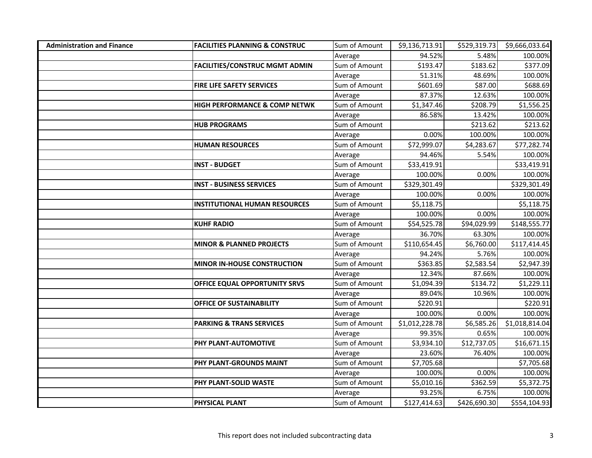| <b>Administration and Finance</b> | <b>FACILITIES PLANNING &amp; CONSTRUC</b> | Sum of Amount | \$9,136,713.91 | \$529,319.73 | \$9,666,033.64 |
|-----------------------------------|-------------------------------------------|---------------|----------------|--------------|----------------|
|                                   |                                           | Average       | 94.52%         | 5.48%        | 100.00%        |
|                                   | <b>FACILITIES/CONSTRUC MGMT ADMIN</b>     | Sum of Amount | \$193.47       | \$183.62     | \$377.09       |
|                                   |                                           | Average       | 51.31%         | 48.69%       | 100.00%        |
|                                   | <b>FIRE LIFE SAFETY SERVICES</b>          | Sum of Amount | \$601.69       | \$87.00      | \$688.69       |
|                                   |                                           | Average       | 87.37%         | 12.63%       | 100.00%        |
|                                   | <b>HIGH PERFORMANCE &amp; COMP NETWK</b>  | Sum of Amount | \$1,347.46     | \$208.79     | \$1,556.25     |
|                                   |                                           | Average       | 86.58%         | 13.42%       | 100.00%        |
|                                   | <b>HUB PROGRAMS</b>                       | Sum of Amount |                | \$213.62     | \$213.62       |
|                                   |                                           | Average       | 0.00%          | 100.00%      | 100.00%        |
|                                   | <b>HUMAN RESOURCES</b>                    | Sum of Amount | \$72,999.07    | \$4,283.67   | \$77,282.74    |
|                                   |                                           | Average       | 94.46%         | 5.54%        | 100.00%        |
|                                   | <b>INST - BUDGET</b>                      | Sum of Amount | \$33,419.91    |              | \$33,419.91    |
|                                   |                                           | Average       | 100.00%        | 0.00%        | 100.00%        |
|                                   | <b>INST - BUSINESS SERVICES</b>           | Sum of Amount | \$329,301.49   |              | \$329,301.49   |
|                                   |                                           | Average       | 100.00%        | 0.00%        | 100.00%        |
|                                   | <b>INSTITUTIONAL HUMAN RESOURCES</b>      | Sum of Amount | \$5,118.75     |              | \$5,118.75     |
|                                   |                                           | Average       | 100.00%        | 0.00%        | 100.00%        |
|                                   | <b>KUHF RADIO</b>                         | Sum of Amount | \$54,525.78    | \$94,029.99  | \$148,555.77   |
|                                   |                                           | Average       | 36.70%         | 63.30%       | 100.00%        |
|                                   | <b>MINOR &amp; PLANNED PROJECTS</b>       | Sum of Amount | \$110,654.45   | \$6,760.00   | \$117,414.45   |
|                                   |                                           | Average       | 94.24%         | 5.76%        | 100.00%        |
|                                   | <b>MINOR IN-HOUSE CONSTRUCTION</b>        | Sum of Amount | \$363.85       | \$2,583.54   | \$2,947.39     |
|                                   |                                           | Average       | 12.34%         | 87.66%       | 100.00%        |
|                                   | OFFICE EQUAL OPPORTUNITY SRVS             | Sum of Amount | \$1,094.39     | \$134.72     | \$1,229.11     |
|                                   |                                           | Average       | 89.04%         | 10.96%       | 100.00%        |
|                                   | <b>OFFICE OF SUSTAINABILITY</b>           | Sum of Amount | \$220.91       |              | \$220.91       |
|                                   |                                           | Average       | 100.00%        | 0.00%        | 100.00%        |
|                                   | <b>PARKING &amp; TRANS SERVICES</b>       | Sum of Amount | \$1,012,228.78 | \$6,585.26   | \$1,018,814.04 |
|                                   |                                           | Average       | 99.35%         | 0.65%        | 100.00%        |
|                                   | PHY PLANT-AUTOMOTIVE                      | Sum of Amount | \$3,934.10     | \$12,737.05  | \$16,671.15    |
|                                   |                                           | Average       | 23.60%         | 76.40%       | 100.00%        |
|                                   | PHY PLANT-GROUNDS MAINT                   | Sum of Amount | \$7,705.68     |              | \$7,705.68     |
|                                   |                                           | Average       | 100.00%        | 0.00%        | 100.00%        |
|                                   | PHY PLANT-SOLID WASTE                     | Sum of Amount | \$5,010.16     | \$362.59     | \$5,372.75     |
|                                   |                                           | Average       | 93.25%         | 6.75%        | 100.00%        |
|                                   | PHYSICAL PLANT                            | Sum of Amount | \$127,414.63   | \$426,690.30 | \$554,104.93   |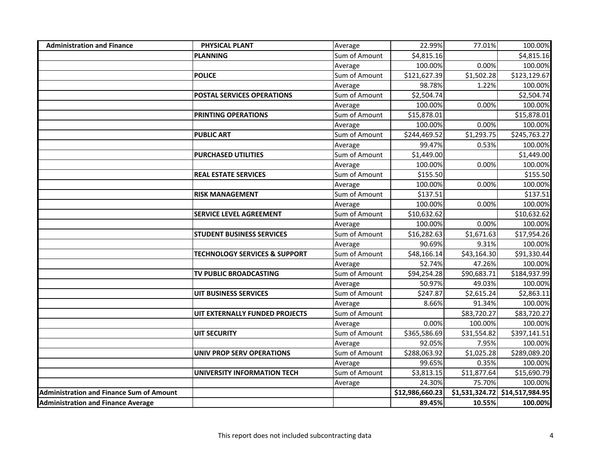| <b>Administration and Finance</b>               | PHYSICAL PLANT                           | Average       | 22.99%          | 77.01%      | 100.00%                          |
|-------------------------------------------------|------------------------------------------|---------------|-----------------|-------------|----------------------------------|
|                                                 | <b>PLANNING</b>                          | Sum of Amount | \$4,815.16      |             | \$4,815.16                       |
|                                                 |                                          | Average       | 100.00%         | 0.00%       | 100.00%                          |
|                                                 | <b>POLICE</b>                            | Sum of Amount | \$121,627.39    | \$1,502.28  | \$123,129.67                     |
|                                                 |                                          | Average       | 98.78%          | 1.22%       | 100.00%                          |
|                                                 | POSTAL SERVICES OPERATIONS               | Sum of Amount | \$2,504.74      |             | \$2,504.74                       |
|                                                 |                                          | Average       | 100.00%         | 0.00%       | 100.00%                          |
|                                                 | PRINTING OPERATIONS                      | Sum of Amount | \$15,878.01     |             | \$15,878.01                      |
|                                                 |                                          | Average       | 100.00%         | 0.00%       | 100.00%                          |
|                                                 | <b>PUBLIC ART</b>                        | Sum of Amount | \$244,469.52    | \$1,293.75  | \$245,763.27                     |
|                                                 |                                          | Average       | 99.47%          | 0.53%       | 100.00%                          |
|                                                 | <b>PURCHASED UTILITIES</b>               | Sum of Amount | \$1,449.00      |             | \$1,449.00                       |
|                                                 |                                          | Average       | 100.00%         | 0.00%       | 100.00%                          |
|                                                 | <b>REAL ESTATE SERVICES</b>              | Sum of Amount | \$155.50        |             | \$155.50                         |
|                                                 |                                          | Average       | 100.00%         | 0.00%       | 100.00%                          |
|                                                 | <b>RISK MANAGEMENT</b>                   | Sum of Amount | \$137.51        |             | \$137.51                         |
|                                                 |                                          | Average       | 100.00%         | 0.00%       | 100.00%                          |
|                                                 | <b>SERVICE LEVEL AGREEMENT</b>           | Sum of Amount | \$10,632.62     |             | \$10,632.62                      |
|                                                 |                                          | Average       | 100.00%         | 0.00%       | 100.00%                          |
|                                                 | <b>STUDENT BUSINESS SERVICES</b>         | Sum of Amount | \$16,282.63     | \$1,671.63  | \$17,954.26                      |
|                                                 |                                          | Average       | 90.69%          | 9.31%       | 100.00%                          |
|                                                 | <b>TECHNOLOGY SERVICES &amp; SUPPORT</b> | Sum of Amount | \$48,166.14     | \$43,164.30 | \$91,330.44                      |
|                                                 |                                          | Average       | 52.74%          | 47.26%      | 100.00%                          |
|                                                 | TV PUBLIC BROADCASTING                   | Sum of Amount | \$94,254.28     | \$90,683.71 | \$184,937.99                     |
|                                                 |                                          | Average       | 50.97%          | 49.03%      | 100.00%                          |
|                                                 | <b>UIT BUSINESS SERVICES</b>             | Sum of Amount | \$247.87        | \$2,615.24  | \$2,863.11                       |
|                                                 |                                          | Average       | 8.66%           | 91.34%      | 100.00%                          |
|                                                 | UIT EXTERNALLY FUNDED PROJECTS           | Sum of Amount |                 | \$83,720.27 | \$83,720.27                      |
|                                                 |                                          | Average       | 0.00%           | 100.00%     | 100.00%                          |
|                                                 | <b>UIT SECURITY</b>                      | Sum of Amount | \$365,586.69    | \$31,554.82 | \$397,141.51                     |
|                                                 |                                          | Average       | 92.05%          | 7.95%       | 100.00%                          |
|                                                 | <b>UNIV PROP SERV OPERATIONS</b>         | Sum of Amount | \$288,063.92    | \$1,025.28  | \$289,089.20                     |
|                                                 |                                          | Average       | 99.65%          | 0.35%       | 100.00%                          |
|                                                 | UNIVERSITY INFORMATION TECH              | Sum of Amount | \$3,813.15      | \$11,877.64 | \$15,690.79                      |
|                                                 |                                          | Average       | 24.30%          | 75.70%      | 100.00%                          |
| <b>Administration and Finance Sum of Amount</b> |                                          |               | \$12,986,660.23 |             | $$1,531,324.72$ $$14,517,984.95$ |
| <b>Administration and Finance Average</b>       |                                          |               | 89.45%          | 10.55%      | 100.00%                          |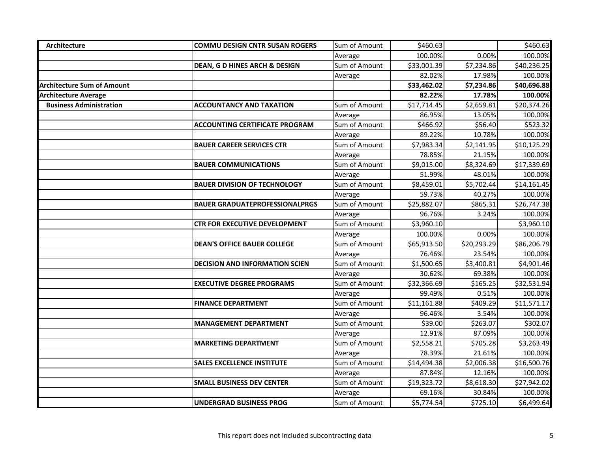| Architecture                      | <b>COMMU DESIGN CNTR SUSAN ROGERS</b> | Sum of Amount | \$460.63               |             | \$460.63    |
|-----------------------------------|---------------------------------------|---------------|------------------------|-------------|-------------|
|                                   |                                       | Average       | 100.00%                | 0.00%       | 100.00%     |
|                                   | DEAN, G D HINES ARCH & DESIGN         | Sum of Amount | \$33,001.39            | \$7,234.86  | \$40,236.25 |
|                                   |                                       | Average       | 82.02%                 | 17.98%      | 100.00%     |
| <b>Architecture Sum of Amount</b> |                                       |               | \$33,462.02            | \$7,234.86  | \$40,696.88 |
| <b>Architecture Average</b>       |                                       |               | 82.22%                 | 17.78%      | 100.00%     |
| <b>Business Administration</b>    | <b>ACCOUNTANCY AND TAXATION</b>       | Sum of Amount | \$17,714.45            | \$2,659.81  | \$20,374.26 |
|                                   |                                       | Average       | 86.95%                 | 13.05%      | 100.00%     |
|                                   | <b>ACCOUNTING CERTIFICATE PROGRAM</b> | Sum of Amount | \$466.92               | \$56.40     | \$523.32    |
|                                   |                                       | Average       | 89.22%                 | 10.78%      | 100.00%     |
|                                   | <b>BAUER CAREER SERVICES CTR</b>      | Sum of Amount | \$7,983.34             | \$2,141.95  | \$10,125.29 |
|                                   |                                       | Average       | 78.85%                 | 21.15%      | 100.00%     |
|                                   | <b>BAUER COMMUNICATIONS</b>           | Sum of Amount | \$9,015.00             | \$8,324.69  | \$17,339.69 |
|                                   |                                       | Average       | 51.99%                 | 48.01%      | 100.00%     |
|                                   | <b>BAUER DIVISION OF TECHNOLOGY</b>   | Sum of Amount | \$8,459.01             | \$5,702.44  | \$14,161.45 |
|                                   |                                       | Average       | 59.73%                 | 40.27%      | 100.00%     |
|                                   | <b>BAUER GRADUATEPROFESSIONALPRGS</b> | Sum of Amount | \$25,882.07            | \$865.31    | \$26,747.38 |
|                                   |                                       | Average       | 96.76%                 | 3.24%       | 100.00%     |
|                                   | CTR FOR EXECUTIVE DEVELOPMENT         | Sum of Amount | \$3,960.10             |             | \$3,960.10  |
|                                   |                                       | Average       | 100.00%                | 0.00%       | 100.00%     |
|                                   | <b>DEAN'S OFFICE BAUER COLLEGE</b>    | Sum of Amount | \$65,913.50            | \$20,293.29 | \$86,206.79 |
|                                   |                                       | Average       | 76.46%                 | 23.54%      | 100.00%     |
|                                   | <b>DECISION AND INFORMATION SCIEN</b> | Sum of Amount | \$1,500.65             | \$3,400.81  | \$4,901.46  |
|                                   |                                       | Average       | 30.62%                 | 69.38%      | 100.00%     |
|                                   | <b>EXECUTIVE DEGREE PROGRAMS</b>      | Sum of Amount | \$32,366.69            | \$165.25    | \$32,531.94 |
|                                   |                                       | Average       | 99.49%                 | 0.51%       | 100.00%     |
|                                   | <b>FINANCE DEPARTMENT</b>             | Sum of Amount | \$11,161.88            | \$409.29    | \$11,571.17 |
|                                   |                                       | Average       | 96.46%                 | 3.54%       | 100.00%     |
|                                   | <b>MANAGEMENT DEPARTMENT</b>          | Sum of Amount | \$39.00                | \$263.07    | \$302.07    |
|                                   |                                       | Average       | 12.91%                 | 87.09%      | 100.00%     |
|                                   | <b>MARKETING DEPARTMENT</b>           | Sum of Amount | \$2,558.21             | \$705.28    | \$3,263.49  |
|                                   |                                       | Average       | 78.39%                 | 21.61%      | 100.00%     |
|                                   | <b>SALES EXCELLENCE INSTITUTE</b>     | Sum of Amount | \$14,494.38            | \$2,006.38  | \$16,500.76 |
|                                   |                                       | Average       | 87.84%                 | 12.16%      | 100.00%     |
|                                   | <b>SMALL BUSINESS DEV CENTER</b>      | Sum of Amount | \$19,323.72            | \$8,618.30  | \$27,942.02 |
|                                   |                                       | Average       | 69.16%                 | 30.84%      | 100.00%     |
|                                   | <b>UNDERGRAD BUSINESS PROG</b>        | Sum of Amount | $\overline{$}5,774.54$ | \$725.10    | \$6,499.64  |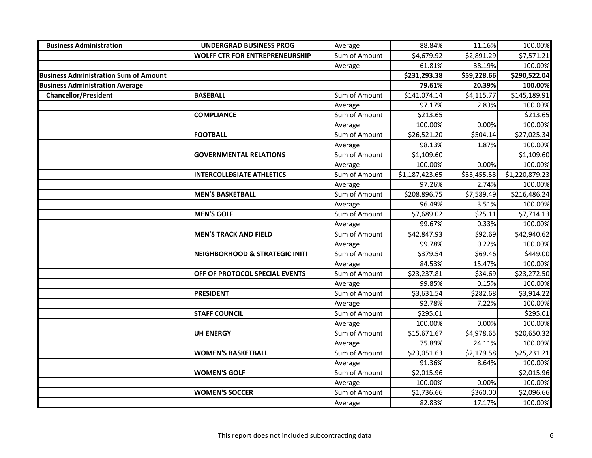| <b>Business Administration</b>               | <b>UNDERGRAD BUSINESS PROG</b>            | Average       | 88.84%                  | 11.16%      | 100.00%        |
|----------------------------------------------|-------------------------------------------|---------------|-------------------------|-------------|----------------|
|                                              | <b>WOLFF CTR FOR ENTREPRENEURSHIP</b>     | Sum of Amount | \$4,679.92              | \$2,891.29  | \$7,571.21     |
|                                              |                                           | Average       | 61.81%                  | 38.19%      | 100.00%        |
| <b>Business Administration Sum of Amount</b> |                                           |               | \$231,293.38            | \$59,228.66 | \$290,522.04   |
| <b>Business Administration Average</b>       |                                           |               | 79.61%                  | 20.39%      | 100.00%        |
| <b>Chancellor/President</b>                  | <b>BASEBALL</b>                           | Sum of Amount | \$141,074.14            | \$4,115.77  | \$145,189.91   |
|                                              |                                           | Average       | 97.17%                  | 2.83%       | 100.00%        |
|                                              | <b>COMPLIANCE</b>                         | Sum of Amount | \$213.65                |             | \$213.65       |
|                                              |                                           | Average       | 100.00%                 | 0.00%       | 100.00%        |
|                                              | <b>FOOTBALL</b>                           | Sum of Amount | \$26,521.20             | \$504.14    | \$27,025.34    |
|                                              |                                           | Average       | 98.13%                  | 1.87%       | 100.00%        |
|                                              | <b>GOVERNMENTAL RELATIONS</b>             | Sum of Amount | \$1,109.60              |             | \$1,109.60     |
|                                              |                                           | Average       | 100.00%                 | 0.00%       | 100.00%        |
|                                              | <b>INTERCOLLEGIATE ATHLETICS</b>          | Sum of Amount | \$1,187,423.65          | \$33,455.58 | \$1,220,879.23 |
|                                              |                                           | Average       | 97.26%                  | 2.74%       | 100.00%        |
|                                              | <b>MEN'S BASKETBALL</b>                   | Sum of Amount | \$208,896.75            | \$7,589.49  | \$216,486.24   |
|                                              |                                           | Average       | 96.49%                  | 3.51%       | 100.00%        |
|                                              | <b>MEN'S GOLF</b>                         | Sum of Amount | \$7,689.02              | \$25.11     | \$7,714.13     |
|                                              |                                           | Average       | 99.67%                  | 0.33%       | 100.00%        |
|                                              | <b>MEN'S TRACK AND FIELD</b>              | Sum of Amount | \$42,847.93             | \$92.69     | \$42,940.62    |
|                                              |                                           | Average       | 99.78%                  | 0.22%       | 100.00%        |
|                                              | <b>NEIGHBORHOOD &amp; STRATEGIC INITI</b> | Sum of Amount | \$379.54                | \$69.46     | \$449.00       |
|                                              |                                           | Average       | 84.53%                  | 15.47%      | 100.00%        |
|                                              | OFF OF PROTOCOL SPECIAL EVENTS            | Sum of Amount | \$23,237.81             | \$34.69     | \$23,272.50    |
|                                              |                                           | Average       | 99.85%                  | 0.15%       | 100.00%        |
|                                              | <b>PRESIDENT</b>                          | Sum of Amount | \$3,631.54              | \$282.68    | \$3,914.22     |
|                                              |                                           | Average       | 92.78%                  | 7.22%       | 100.00%        |
|                                              | <b>STAFF COUNCIL</b>                      | Sum of Amount | \$295.01                |             | \$295.01       |
|                                              |                                           | Average       | 100.00%                 | 0.00%       | 100.00%        |
|                                              | <b>UH ENERGY</b>                          | Sum of Amount | $\overline{$}15,671.67$ | \$4,978.65  | \$20,650.32    |
|                                              |                                           | Average       | 75.89%                  | 24.11%      | 100.00%        |
|                                              | <b>WOMEN'S BASKETBALL</b>                 | Sum of Amount | \$23,051.63             | \$2,179.58  | \$25,231.21    |
|                                              |                                           | Average       | 91.36%                  | 8.64%       | 100.00%        |
|                                              | <b>WOMEN'S GOLF</b>                       | Sum of Amount | \$2,015.96              |             | \$2,015.96     |
|                                              |                                           | Average       | 100.00%                 | 0.00%       | 100.00%        |
|                                              | <b>WOMEN'S SOCCER</b>                     | Sum of Amount | \$1,736.66              | \$360.00    | \$2,096.66     |
|                                              |                                           | Average       | 82.83%                  | 17.17%      | 100.00%        |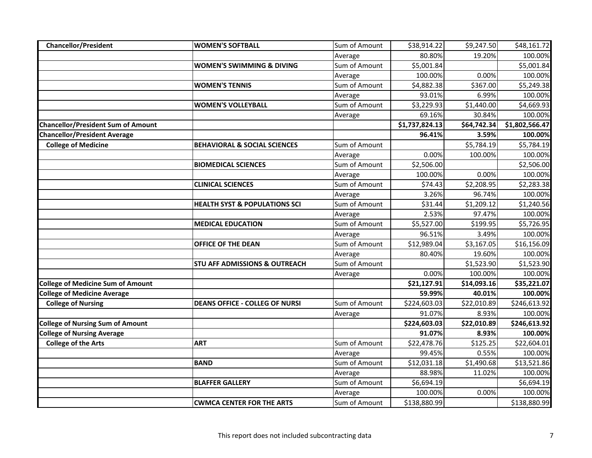| <b>Chancellor/President</b>               | <b>WOMEN'S SOFTBALL</b>                  | Sum of Amount | \$38,914.22    | \$9,247.50  | \$48,161.72    |
|-------------------------------------------|------------------------------------------|---------------|----------------|-------------|----------------|
|                                           |                                          | Average       | 80.80%         | 19.20%      | 100.00%        |
|                                           | <b>WOMEN'S SWIMMING &amp; DIVING</b>     | Sum of Amount | \$5,001.84     |             | \$5,001.84     |
|                                           |                                          | Average       | 100.00%        | 0.00%       | 100.00%        |
|                                           | <b>WOMEN'S TENNIS</b>                    | Sum of Amount | \$4,882.38     | \$367.00    | \$5,249.38     |
|                                           |                                          | Average       | 93.01%         | 6.99%       | 100.00%        |
|                                           | <b>WOMEN'S VOLLEYBALL</b>                | Sum of Amount | \$3,229.93     | \$1,440.00  | \$4,669.93     |
|                                           |                                          | Average       | 69.16%         | 30.84%      | 100.00%        |
| <b>Chancellor/President Sum of Amount</b> |                                          |               | \$1,737,824.13 | \$64,742.34 | \$1,802,566.47 |
| <b>Chancellor/President Average</b>       |                                          |               | 96.41%         | 3.59%       | 100.00%        |
| <b>College of Medicine</b>                | <b>BEHAVIORAL &amp; SOCIAL SCIENCES</b>  | Sum of Amount |                | \$5,784.19  | \$5,784.19     |
|                                           |                                          | Average       | 0.00%          | 100.00%     | 100.00%        |
|                                           | <b>BIOMEDICAL SCIENCES</b>               | Sum of Amount | \$2,506.00     |             | \$2,506.00     |
|                                           |                                          | Average       | 100.00%        | 0.00%       | 100.00%        |
|                                           | <b>CLINICAL SCIENCES</b>                 | Sum of Amount | \$74.43        | \$2,208.95  | \$2,283.38     |
|                                           |                                          | Average       | 3.26%          | 96.74%      | 100.00%        |
|                                           | <b>HEALTH SYST &amp; POPULATIONS SCI</b> | Sum of Amount | \$31.44        | \$1,209.12  | \$1,240.56     |
|                                           |                                          | Average       | 2.53%          | 97.47%      | 100.00%        |
|                                           | <b>MEDICAL EDUCATION</b>                 | Sum of Amount | \$5,527.00     | \$199.95    | \$5,726.95     |
|                                           |                                          | Average       | 96.51%         | 3.49%       | 100.00%        |
|                                           | <b>OFFICE OF THE DEAN</b>                | Sum of Amount | \$12,989.04    | \$3,167.05  | \$16,156.09    |
|                                           |                                          | Average       | 80.40%         | 19.60%      | 100.00%        |
|                                           | <b>STU AFF ADMISSIONS &amp; OUTREACH</b> | Sum of Amount |                | \$1,523.90  | \$1,523.90     |
|                                           |                                          | Average       | 0.00%          | 100.00%     | 100.00%        |
| <b>College of Medicine Sum of Amount</b>  |                                          |               | \$21,127.91    | \$14,093.16 | \$35,221.07    |
| <b>College of Medicine Average</b>        |                                          |               | 59.99%         | 40.01%      | 100.00%        |
| <b>College of Nursing</b>                 | <b>DEANS OFFICE - COLLEG OF NURSI</b>    | Sum of Amount | \$224,603.03   | \$22,010.89 | \$246,613.92   |
|                                           |                                          | Average       | 91.07%         | 8.93%       | 100.00%        |
| <b>College of Nursing Sum of Amount</b>   |                                          |               | \$224,603.03   | \$22,010.89 | \$246,613.92   |
| <b>College of Nursing Average</b>         |                                          |               | 91.07%         | 8.93%       | 100.00%        |
| <b>College of the Arts</b>                | <b>ART</b>                               | Sum of Amount | \$22,478.76    | \$125.25    | \$22,604.01    |
|                                           |                                          | Average       | 99.45%         | 0.55%       | 100.00%        |
|                                           | <b>BAND</b>                              | Sum of Amount | \$12,031.18    | \$1,490.68  | \$13,521.86    |
|                                           |                                          | Average       | 88.98%         | 11.02%      | 100.00%        |
|                                           | <b>BLAFFER GALLERY</b>                   | Sum of Amount | \$6,694.19     |             | \$6,694.19     |
|                                           |                                          | Average       | 100.00%        | 0.00%       | 100.00%        |
|                                           | <b>CWMCA CENTER FOR THE ARTS</b>         | Sum of Amount | \$138,880.99   |             | \$138,880.99   |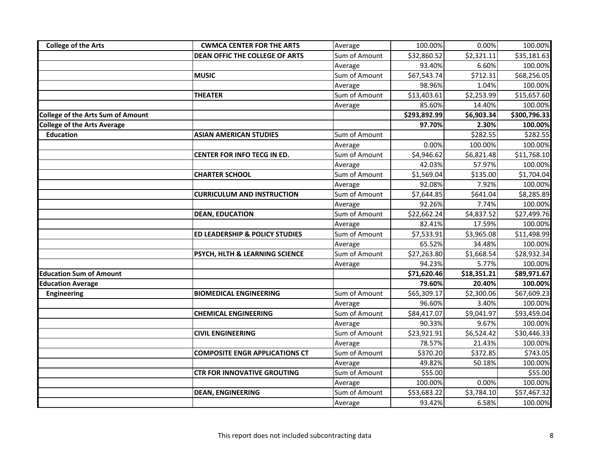| <b>College of the Arts</b>               | <b>CWMCA CENTER FOR THE ARTS</b>      | Average       | 100.00%      | 0.00%       | 100.00%      |
|------------------------------------------|---------------------------------------|---------------|--------------|-------------|--------------|
|                                          | <b>DEAN OFFIC THE COLLEGE OF ARTS</b> | Sum of Amount | \$32,860.52  | \$2,321.11  | \$35,181.63  |
|                                          |                                       | Average       | 93.40%       | 6.60%       | 100.00%      |
|                                          | <b>MUSIC</b>                          | Sum of Amount | \$67,543.74  | \$712.31    | \$68,256.05  |
|                                          |                                       | Average       | 98.96%       | 1.04%       | 100.00%      |
|                                          | <b>THEATER</b>                        | Sum of Amount | \$13,403.61  | \$2,253.99  | \$15,657.60  |
|                                          |                                       | Average       | 85.60%       | 14.40%      | 100.00%      |
| <b>College of the Arts Sum of Amount</b> |                                       |               | \$293,892.99 | \$6,903.34  | \$300,796.33 |
| <b>College of the Arts Average</b>       |                                       |               | 97.70%       | 2.30%       | 100.00%      |
| <b>Education</b>                         | <b>ASIAN AMERICAN STUDIES</b>         | Sum of Amount |              | \$282.55    | \$282.55     |
|                                          |                                       | Average       | 0.00%        | 100.00%     | 100.00%      |
|                                          | CENTER FOR INFO TECG IN ED.           | Sum of Amount | \$4,946.62   | \$6,821.48  | \$11,768.10  |
|                                          |                                       | Average       | 42.03%       | 57.97%      | 100.00%      |
|                                          | <b>CHARTER SCHOOL</b>                 | Sum of Amount | \$1,569.04   | \$135.00    | \$1,704.04   |
|                                          |                                       | Average       | 92.08%       | 7.92%       | 100.00%      |
|                                          | <b>CURRICULUM AND INSTRUCTION</b>     | Sum of Amount | \$7,644.85   | \$641.04    | \$8,285.89   |
|                                          |                                       | Average       | 92.26%       | 7.74%       | 100.00%      |
|                                          | <b>DEAN, EDUCATION</b>                | Sum of Amount | \$22,662.24  | \$4,837.52  | \$27,499.76  |
|                                          |                                       | Average       | 82.41%       | 17.59%      | 100.00%      |
|                                          | ED LEADERSHIP & POLICY STUDIES        | Sum of Amount | \$7,533.91   | \$3,965.08  | \$11,498.99  |
|                                          |                                       | Average       | 65.52%       | 34.48%      | 100.00%      |
|                                          | PSYCH, HLTH & LEARNING SCIENCE        | Sum of Amount | \$27,263.80  | \$1,668.54  | \$28,932.34  |
|                                          |                                       | Average       | 94.23%       | 5.77%       | 100.00%      |
| <b>Education Sum of Amount</b>           |                                       |               | \$71,620.46  | \$18,351.21 | \$89,971.67  |
| <b>Education Average</b>                 |                                       |               | 79.60%       | 20.40%      | 100.00%      |
| <b>Engineering</b>                       | <b>BIOMEDICAL ENGINEERING</b>         | Sum of Amount | \$65,309.17  | \$2,300.06  | \$67,609.23  |
|                                          |                                       | Average       | 96.60%       | 3.40%       | 100.00%      |
|                                          | <b>CHEMICAL ENGINEERING</b>           | Sum of Amount | \$84,417.07  | \$9,041.97  | \$93,459.04  |
|                                          |                                       | Average       | 90.33%       | 9.67%       | 100.00%      |
|                                          | <b>CIVIL ENGINEERING</b>              | Sum of Amount | \$23,921.91  | \$6,524.42  | \$30,446.33  |
|                                          |                                       | Average       | 78.57%       | 21.43%      | 100.00%      |
|                                          | <b>COMPOSITE ENGR APPLICATIONS CT</b> | Sum of Amount | \$370.20     | \$372.85    | \$743.05     |
|                                          |                                       | Average       | 49.82%       | 50.18%      | 100.00%      |
|                                          | <b>CTR FOR INNOVATIVE GROUTING</b>    | Sum of Amount | \$55.00      |             | \$55.00      |
|                                          |                                       | Average       | 100.00%      | 0.00%       | 100.00%      |
|                                          | <b>DEAN, ENGINEERING</b>              | Sum of Amount | \$53,683.22  | \$3,784.10  | \$57,467.32  |
|                                          |                                       | Average       | 93.42%       | 6.58%       | 100.00%      |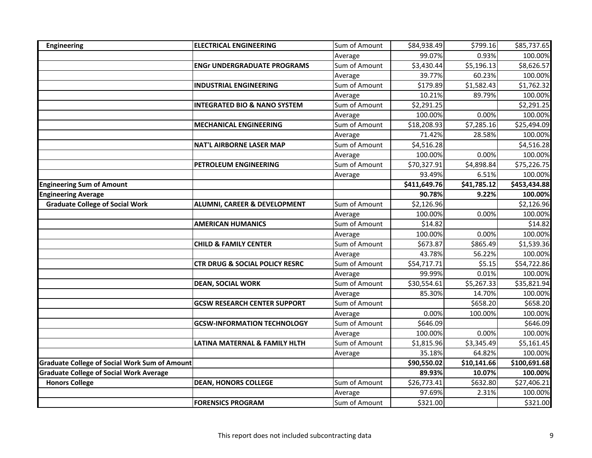| <b>Engineering</b>                                   | <b>ELECTRICAL ENGINEERING</b>             | Sum of Amount | \$84,938.49  | \$799.16    | \$85,737.65  |
|------------------------------------------------------|-------------------------------------------|---------------|--------------|-------------|--------------|
|                                                      |                                           | Average       | 99.07%       | 0.93%       | 100.00%      |
|                                                      | <b>ENGr UNDERGRADUATE PROGRAMS</b>        | Sum of Amount | \$3,430.44   | \$5,196.13  | \$8,626.57   |
|                                                      |                                           | Average       | 39.77%       | 60.23%      | 100.00%      |
|                                                      | <b>INDUSTRIAL ENGINEERING</b>             | Sum of Amount | \$179.89     | \$1,582.43  | \$1,762.32   |
|                                                      |                                           | Average       | 10.21%       | 89.79%      | 100.00%      |
|                                                      | <b>INTEGRATED BIO &amp; NANO SYSTEM</b>   | Sum of Amount | \$2,291.25   |             | \$2,291.25   |
|                                                      |                                           | Average       | 100.00%      | 0.00%       | 100.00%      |
|                                                      | <b>MECHANICAL ENGINEERING</b>             | Sum of Amount | \$18,208.93  | \$7,285.16  | \$25,494.09  |
|                                                      |                                           | Average       | 71.42%       | 28.58%      | 100.00%      |
|                                                      | <b>NAT'L AIRBORNE LASER MAP</b>           | Sum of Amount | \$4,516.28   |             | \$4,516.28   |
|                                                      |                                           | Average       | 100.00%      | 0.00%       | 100.00%      |
|                                                      | PETROLEUM ENGINEERING                     | Sum of Amount | \$70,327.91  | \$4,898.84  | \$75,226.75  |
|                                                      |                                           | Average       | 93.49%       | 6.51%       | 100.00%      |
| <b>Engineering Sum of Amount</b>                     |                                           |               | \$411,649.76 | \$41,785.12 | \$453,434.88 |
| <b>Engineering Average</b>                           |                                           |               | 90.78%       | 9.22%       | 100.00%      |
| <b>Graduate College of Social Work</b>               | ALUMNI, CAREER & DEVELOPMENT              | Sum of Amount | \$2,126.96   |             | \$2,126.96   |
|                                                      |                                           | Average       | 100.00%      | 0.00%       | 100.00%      |
|                                                      | <b>AMERICAN HUMANICS</b>                  | Sum of Amount | \$14.82      |             | \$14.82      |
|                                                      |                                           | Average       | 100.00%      | 0.00%       | 100.00%      |
|                                                      | <b>CHILD &amp; FAMILY CENTER</b>          | Sum of Amount | \$673.87     | \$865.49    | \$1,539.36   |
|                                                      |                                           | Average       | 43.78%       | 56.22%      | 100.00%      |
|                                                      | <b>CTR DRUG &amp; SOCIAL POLICY RESRC</b> | Sum of Amount | \$54,717.71  | \$5.15      | \$54,722.86  |
|                                                      |                                           | Average       | 99.99%       | 0.01%       | 100.00%      |
|                                                      | <b>DEAN, SOCIAL WORK</b>                  | Sum of Amount | \$30,554.61  | \$5,267.33  | \$35,821.94  |
|                                                      |                                           | Average       | 85.30%       | 14.70%      | 100.00%      |
|                                                      | <b>GCSW RESEARCH CENTER SUPPORT</b>       | Sum of Amount |              | \$658.20    | \$658.20     |
|                                                      |                                           | Average       | 0.00%        | 100.00%     | 100.00%      |
|                                                      | <b>GCSW-INFORMATION TECHNOLOGY</b>        | Sum of Amount | \$646.09     |             | \$646.09     |
|                                                      |                                           | Average       | 100.00%      | 0.00%       | 100.00%      |
|                                                      | LATINA MATERNAL & FAMILY HLTH             | Sum of Amount | \$1,815.96   | \$3,345.49  | \$5,161.45   |
|                                                      |                                           | Average       | 35.18%       | 64.82%      | 100.00%      |
| <b>Graduate College of Social Work Sum of Amount</b> |                                           |               | \$90,550.02  | \$10,141.66 | \$100,691.68 |
| <b>Graduate College of Social Work Average</b>       |                                           |               | 89.93%       | 10.07%      | 100.00%      |
| <b>Honors College</b>                                | <b>DEAN, HONORS COLLEGE</b>               | Sum of Amount | \$26,773.41  | \$632.80    | \$27,406.21  |
|                                                      |                                           | Average       | 97.69%       | 2.31%       | 100.00%      |
|                                                      | <b>FORENSICS PROGRAM</b>                  | Sum of Amount | \$321.00     |             | \$321.00     |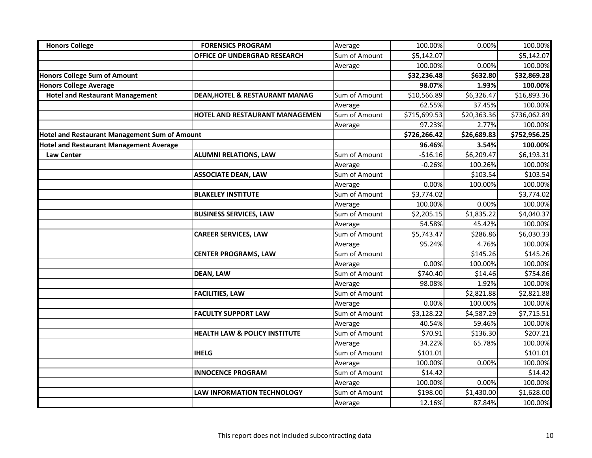| <b>Honors College</b>                          | <b>FORENSICS PROGRAM</b>                 | Average       | 100.00%      | 0.00%       | 100.00%      |
|------------------------------------------------|------------------------------------------|---------------|--------------|-------------|--------------|
|                                                | <b>OFFICE OF UNDERGRAD RESEARCH</b>      | Sum of Amount | \$5,142.07   |             | \$5,142.07   |
|                                                |                                          | Average       | 100.00%      | 0.00%       | 100.00%      |
| <b>Honors College Sum of Amount</b>            |                                          |               | \$32,236.48  | \$632.80    | \$32,869.28  |
| <b>Honors College Average</b>                  |                                          |               | 98.07%       | 1.93%       | 100.00%      |
| <b>Hotel and Restaurant Management</b>         | DEAN, HOTEL & RESTAURANT MANAG           | Sum of Amount | \$10,566.89  | \$6,326.47  | \$16,893.36  |
|                                                |                                          | Average       | 62.55%       | 37.45%      | 100.00%      |
|                                                | HOTEL AND RESTAURANT MANAGEMEN           | Sum of Amount | \$715,699.53 | \$20,363.36 | \$736,062.89 |
|                                                |                                          | Average       | 97.23%       | 2.77%       | 100.00%      |
| Hotel and Restaurant Management Sum of Amount  |                                          |               | \$726,266.42 | \$26,689.83 | \$752,956.25 |
| <b>Hotel and Restaurant Management Average</b> |                                          |               | 96.46%       | 3.54%       | 100.00%      |
| <b>Law Center</b>                              | <b>ALUMNI RELATIONS, LAW</b>             | Sum of Amount | $-516.16$    | \$6,209.47  | \$6,193.31   |
|                                                |                                          | Average       | $-0.26%$     | 100.26%     | 100.00%      |
|                                                | <b>ASSOCIATE DEAN, LAW</b>               | Sum of Amount |              | \$103.54    | \$103.54     |
|                                                |                                          | Average       | 0.00%        | 100.00%     | 100.00%      |
|                                                | <b>BLAKELEY INSTITUTE</b>                | Sum of Amount | \$3,774.02   |             | \$3,774.02   |
|                                                |                                          | Average       | 100.00%      | 0.00%       | 100.00%      |
|                                                | <b>BUSINESS SERVICES, LAW</b>            | Sum of Amount | \$2,205.15   | \$1,835.22  | \$4,040.37   |
|                                                |                                          | Average       | 54.58%       | 45.42%      | 100.00%      |
|                                                | <b>CAREER SERVICES, LAW</b>              | Sum of Amount | \$5,743.47   | \$286.86    | \$6,030.33   |
|                                                |                                          | Average       | 95.24%       | 4.76%       | 100.00%      |
|                                                | <b>CENTER PROGRAMS, LAW</b>              | Sum of Amount |              | \$145.26    | \$145.26     |
|                                                |                                          | Average       | 0.00%        | 100.00%     | 100.00%      |
|                                                | <b>DEAN, LAW</b>                         | Sum of Amount | \$740.40     | \$14.46     | \$754.86     |
|                                                |                                          | Average       | 98.08%       | 1.92%       | 100.00%      |
|                                                | <b>FACILITIES, LAW</b>                   | Sum of Amount |              | \$2,821.88  | \$2,821.88   |
|                                                |                                          | Average       | 0.00%        | 100.00%     | 100.00%      |
|                                                | <b>FACULTY SUPPORT LAW</b>               | Sum of Amount | \$3,128.22   | \$4,587.29  | \$7,715.51   |
|                                                |                                          | Average       | 40.54%       | 59.46%      | 100.00%      |
|                                                | <b>HEALTH LAW &amp; POLICY INSTITUTE</b> | Sum of Amount | \$70.91      | \$136.30    | \$207.21     |
|                                                |                                          | Average       | 34.22%       | 65.78%      | 100.00%      |
|                                                | <b>IHELG</b>                             | Sum of Amount | \$101.01     |             | \$101.01     |
|                                                |                                          | Average       | 100.00%      | 0.00%       | 100.00%      |
|                                                | <b>INNOCENCE PROGRAM</b>                 | Sum of Amount | \$14.42      |             | \$14.42      |
|                                                |                                          | Average       | 100.00%      | 0.00%       | 100.00%      |
|                                                | <b>LAW INFORMATION TECHNOLOGY</b>        | Sum of Amount | \$198.00     | \$1,430.00  | \$1,628.00   |
|                                                |                                          | Average       | 12.16%       | 87.84%      | 100.00%      |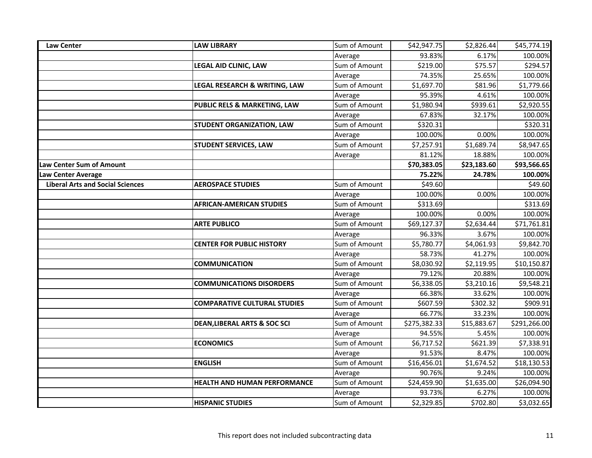| <b>Law Center</b>                       | <b>LAW LIBRARY</b>                      | Sum of Amount | \$42,947.75  | \$2,826.44  | \$45,774.19  |
|-----------------------------------------|-----------------------------------------|---------------|--------------|-------------|--------------|
|                                         |                                         | Average       | 93.83%       | 6.17%       | 100.00%      |
|                                         | LEGAL AID CLINIC, LAW                   | Sum of Amount | \$219.00     | \$75.57     | \$294.57     |
|                                         |                                         | Average       | 74.35%       | 25.65%      | 100.00%      |
|                                         | LEGAL RESEARCH & WRITING, LAW           | Sum of Amount | \$1,697.70   | \$81.96     | \$1,779.66   |
|                                         |                                         | Average       | 95.39%       | 4.61%       | 100.00%      |
|                                         | PUBLIC RELS & MARKETING, LAW            | Sum of Amount | \$1,980.94   | \$939.61    | \$2,920.55   |
|                                         |                                         | Average       | 67.83%       | 32.17%      | 100.00%      |
|                                         | <b>STUDENT ORGANIZATION, LAW</b>        | Sum of Amount | \$320.31     |             | \$320.31     |
|                                         |                                         | Average       | 100.00%      | 0.00%       | 100.00%      |
|                                         | <b>STUDENT SERVICES, LAW</b>            | Sum of Amount | \$7,257.91   | \$1,689.74  | \$8,947.65   |
|                                         |                                         | Average       | 81.12%       | 18.88%      | 100.00%      |
| Law Center Sum of Amount                |                                         |               | \$70,383.05  | \$23,183.60 | \$93,566.65  |
| Law Center Average                      |                                         |               | 75.22%       | 24.78%      | 100.00%      |
| <b>Liberal Arts and Social Sciences</b> | <b>AEROSPACE STUDIES</b>                | Sum of Amount | \$49.60      |             | \$49.60      |
|                                         |                                         | Average       | 100.00%      | 0.00%       | 100.00%      |
|                                         | <b>AFRICAN-AMERICAN STUDIES</b>         | Sum of Amount | \$313.69     |             | \$313.69     |
|                                         |                                         | Average       | 100.00%      | 0.00%       | 100.00%      |
|                                         | <b>ARTE PUBLICO</b>                     | Sum of Amount | \$69,127.37  | \$2,634.44  | \$71,761.81  |
|                                         |                                         | Average       | 96.33%       | 3.67%       | 100.00%      |
|                                         | <b>CENTER FOR PUBLIC HISTORY</b>        | Sum of Amount | \$5,780.77   | \$4,061.93  | \$9,842.70   |
|                                         |                                         | Average       | 58.73%       | 41.27%      | 100.00%      |
|                                         | <b>COMMUNICATION</b>                    | Sum of Amount | \$8,030.92   | \$2,119.95  | \$10,150.87  |
|                                         |                                         | Average       | 79.12%       | 20.88%      | 100.00%      |
|                                         | <b>COMMUNICATIONS DISORDERS</b>         | Sum of Amount | \$6,338.05   | \$3,210.16  | \$9,548.21   |
|                                         |                                         | Average       | 66.38%       | 33.62%      | 100.00%      |
|                                         | <b>COMPARATIVE CULTURAL STUDIES</b>     | Sum of Amount | \$607.59     | \$302.32    | \$909.91     |
|                                         |                                         | Average       | 66.77%       | 33.23%      | 100.00%      |
|                                         | <b>DEAN, LIBERAL ARTS &amp; SOC SCI</b> | Sum of Amount | \$275,382.33 | \$15,883.67 | \$291,266.00 |
|                                         |                                         | Average       | 94.55%       | 5.45%       | 100.00%      |
|                                         | <b>ECONOMICS</b>                        | Sum of Amount | \$6,717.52   | \$621.39    | \$7,338.91   |
|                                         |                                         | Average       | 91.53%       | 8.47%       | 100.00%      |
|                                         | <b>ENGLISH</b>                          | Sum of Amount | \$16,456.01  | \$1,674.52  | \$18,130.53  |
|                                         |                                         | Average       | 90.76%       | 9.24%       | 100.00%      |
|                                         | <b>HEALTH AND HUMAN PERFORMANCE</b>     | Sum of Amount | \$24,459.90  | \$1,635.00  | \$26,094.90  |
|                                         |                                         | Average       | 93.73%       | 6.27%       | 100.00%      |
|                                         | <b>HISPANIC STUDIES</b>                 | Sum of Amount | \$2,329.85   | \$702.80    | \$3,032.65   |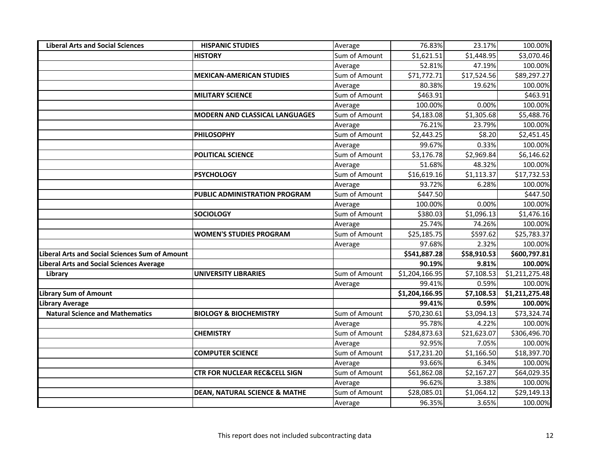| <b>Liberal Arts and Social Sciences</b>               | <b>HISPANIC STUDIES</b>                  | Average       | 76.83%         | 23.17%      | 100.00%        |
|-------------------------------------------------------|------------------------------------------|---------------|----------------|-------------|----------------|
|                                                       | <b>HISTORY</b>                           | Sum of Amount | \$1,621.51     | \$1,448.95  | \$3,070.46     |
|                                                       |                                          | Average       | 52.81%         | 47.19%      | 100.00%        |
|                                                       | <b>MEXICAN-AMERICAN STUDIES</b>          | Sum of Amount | \$71,772.71    | \$17,524.56 | \$89,297.27    |
|                                                       |                                          | Average       | 80.38%         | 19.62%      | 100.00%        |
|                                                       | <b>MILITARY SCIENCE</b>                  | Sum of Amount | \$463.91       |             | \$463.91       |
|                                                       |                                          | Average       | 100.00%        | 0.00%       | 100.00%        |
|                                                       | <b>MODERN AND CLASSICAL LANGUAGES</b>    | Sum of Amount | \$4,183.08     | \$1,305.68  | \$5,488.76     |
|                                                       |                                          | Average       | 76.21%         | 23.79%      | 100.00%        |
|                                                       | <b>PHILOSOPHY</b>                        | Sum of Amount | \$2,443.25     | \$8.20      | \$2,451.45     |
|                                                       |                                          | Average       | 99.67%         | 0.33%       | 100.00%        |
|                                                       | POLITICAL SCIENCE                        | Sum of Amount | \$3,176.78     | \$2,969.84  | \$6,146.62     |
|                                                       |                                          | Average       | 51.68%         | 48.32%      | 100.00%        |
|                                                       | <b>PSYCHOLOGY</b>                        | Sum of Amount | \$16,619.16    | \$1,113.37  | \$17,732.53    |
|                                                       |                                          | Average       | 93.72%         | 6.28%       | 100.00%        |
|                                                       | PUBLIC ADMINISTRATION PROGRAM            | Sum of Amount | \$447.50       |             | \$447.50       |
|                                                       |                                          | Average       | 100.00%        | 0.00%       | 100.00%        |
|                                                       | <b>SOCIOLOGY</b>                         | Sum of Amount | \$380.03       | \$1,096.13  | \$1,476.16     |
|                                                       |                                          | Average       | 25.74%         | 74.26%      | 100.00%        |
|                                                       | <b>WOMEN'S STUDIES PROGRAM</b>           | Sum of Amount | \$25,185.75    | \$597.62    | \$25,783.37    |
|                                                       |                                          | Average       | 97.68%         | 2.32%       | 100.00%        |
| <b>Liberal Arts and Social Sciences Sum of Amount</b> |                                          |               | \$541,887.28   | \$58,910.53 | \$600,797.81   |
| Liberal Arts and Social Sciences Average              |                                          |               | 90.19%         | 9.81%       | 100.00%        |
| Library                                               | <b>UNIVERSITY LIBRARIES</b>              | Sum of Amount | \$1,204,166.95 | \$7,108.53  | \$1,211,275.48 |
|                                                       |                                          | Average       | 99.41%         | 0.59%       | 100.00%        |
| <b>Library Sum of Amount</b>                          |                                          |               | \$1,204,166.95 | \$7,108.53  | \$1,211,275.48 |
| <b>Library Average</b>                                |                                          |               | 99.41%         | 0.59%       | 100.00%        |
| <b>Natural Science and Mathematics</b>                | <b>BIOLOGY &amp; BIOCHEMISTRY</b>        | Sum of Amount | \$70,230.61    | \$3,094.13  | \$73,324.74    |
|                                                       |                                          | Average       | 95.78%         | 4.22%       | 100.00%        |
|                                                       | <b>CHEMISTRY</b>                         | Sum of Amount | \$284,873.63   | \$21,623.07 | \$306,496.70   |
|                                                       |                                          | Average       | 92.95%         | 7.05%       | 100.00%        |
|                                                       | <b>COMPUTER SCIENCE</b>                  | Sum of Amount | \$17,231.20    | \$1,166.50  | \$18,397.70    |
|                                                       |                                          | Average       | 93.66%         | 6.34%       | 100.00%        |
|                                                       | <b>CTR FOR NUCLEAR REC&amp;CELL SIGN</b> | Sum of Amount | \$61,862.08    | \$2,167.27  | \$64,029.35    |
|                                                       |                                          | Average       | 96.62%         | 3.38%       | 100.00%        |
|                                                       | <b>DEAN, NATURAL SCIENCE &amp; MATHE</b> | Sum of Amount | \$28,085.01    | \$1,064.12  | \$29,149.13    |
|                                                       |                                          | Average       | 96.35%         | 3.65%       | 100.00%        |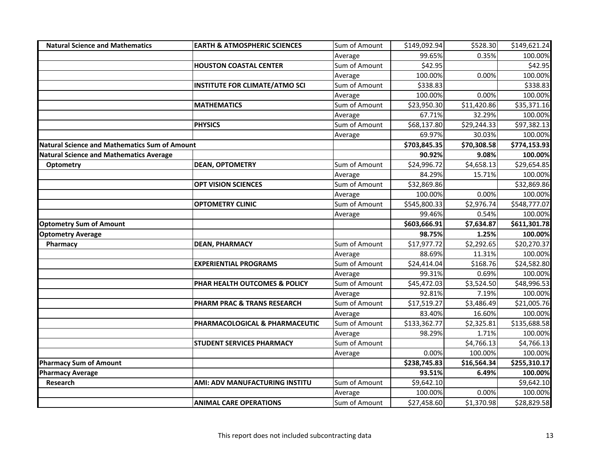| <b>Natural Science and Mathematics</b>               | <b>EARTH &amp; ATMOSPHERIC SCIENCES</b> | Sum of Amount | \$149,092.94 | \$528.30    | \$149,621.24 |
|------------------------------------------------------|-----------------------------------------|---------------|--------------|-------------|--------------|
|                                                      |                                         | Average       | 99.65%       | 0.35%       | 100.00%      |
|                                                      | <b>HOUSTON COASTAL CENTER</b>           | Sum of Amount | \$42.95      |             | \$42.95      |
|                                                      |                                         | Average       | 100.00%      | 0.00%       | 100.00%      |
|                                                      | <b>INSTITUTE FOR CLIMATE/ATMO SCI</b>   | Sum of Amount | \$338.83     |             | \$338.83     |
|                                                      |                                         | Average       | 100.00%      | 0.00%       | 100.00%      |
|                                                      | <b>MATHEMATICS</b>                      | Sum of Amount | \$23,950.30  | \$11,420.86 | \$35,371.16  |
|                                                      |                                         | Average       | 67.71%       | 32.29%      | 100.00%      |
|                                                      | <b>PHYSICS</b>                          | Sum of Amount | \$68,137.80  | \$29,244.33 | \$97,382.13  |
|                                                      |                                         | Average       | 69.97%       | 30.03%      | 100.00%      |
| <b>Natural Science and Mathematics Sum of Amount</b> |                                         |               | \$703,845.35 | \$70,308.58 | \$774,153.93 |
| <b>Natural Science and Mathematics Average</b>       |                                         |               | 90.92%       | 9.08%       | 100.00%      |
| Optometry                                            | <b>DEAN, OPTOMETRY</b>                  | Sum of Amount | \$24,996.72  | \$4,658.13  | \$29,654.85  |
|                                                      |                                         | Average       | 84.29%       | 15.71%      | 100.00%      |
|                                                      | <b>OPT VISION SCIENCES</b>              | Sum of Amount | \$32,869.86  |             | \$32,869.86  |
|                                                      |                                         | Average       | 100.00%      | 0.00%       | 100.00%      |
|                                                      | <b>OPTOMETRY CLINIC</b>                 | Sum of Amount | \$545,800.33 | \$2,976.74  | \$548,777.07 |
|                                                      |                                         | Average       | 99.46%       | 0.54%       | 100.00%      |
| <b>Optometry Sum of Amount</b>                       |                                         |               | \$603,666.91 | \$7,634.87  | \$611,301.78 |
| <b>Optometry Average</b>                             |                                         |               | 98.75%       | 1.25%       | 100.00%      |
| Pharmacy                                             | <b>DEAN, PHARMACY</b>                   | Sum of Amount | \$17,977.72  | \$2,292.65  | \$20,270.37  |
|                                                      |                                         | Average       | 88.69%       | 11.31%      | 100.00%      |
|                                                      | <b>EXPERIENTIAL PROGRAMS</b>            | Sum of Amount | \$24,414.04  | \$168.76    | \$24,582.80  |
|                                                      |                                         | Average       | 99.31%       | 0.69%       | 100.00%      |
|                                                      | PHAR HEALTH OUTCOMES & POLICY           | Sum of Amount | \$45,472.03  | \$3,524.50  | \$48,996.53  |
|                                                      |                                         | Average       | 92.81%       | 7.19%       | 100.00%      |
|                                                      | PHARM PRAC & TRANS RESEARCH             | Sum of Amount | \$17,519.27  | \$3,486.49  | \$21,005.76  |
|                                                      |                                         | Average       | 83.40%       | 16.60%      | 100.00%      |
|                                                      | PHARMACOLOGICAL & PHARMACEUTIC          | Sum of Amount | \$133,362.77 | \$2,325.81  | \$135,688.58 |
|                                                      |                                         | Average       | 98.29%       | 1.71%       | 100.00%      |
|                                                      | <b>STUDENT SERVICES PHARMACY</b>        | Sum of Amount |              | \$4,766.13  | \$4,766.13   |
|                                                      |                                         | Average       | 0.00%        | 100.00%     | 100.00%      |
| <b>Pharmacy Sum of Amount</b>                        |                                         |               | \$238,745.83 | \$16,564.34 | \$255,310.17 |
| <b>Pharmacy Average</b>                              |                                         |               | 93.51%       | 6.49%       | 100.00%      |
| <b>Research</b>                                      | AMI: ADV MANUFACTURING INSTITU          | Sum of Amount | \$9,642.10   |             | \$9,642.10   |
|                                                      |                                         | Average       | 100.00%      | 0.00%       | 100.00%      |
|                                                      | <b>ANIMAL CARE OPERATIONS</b>           | Sum of Amount | \$27,458.60  | \$1,370.98  | \$28,829.58  |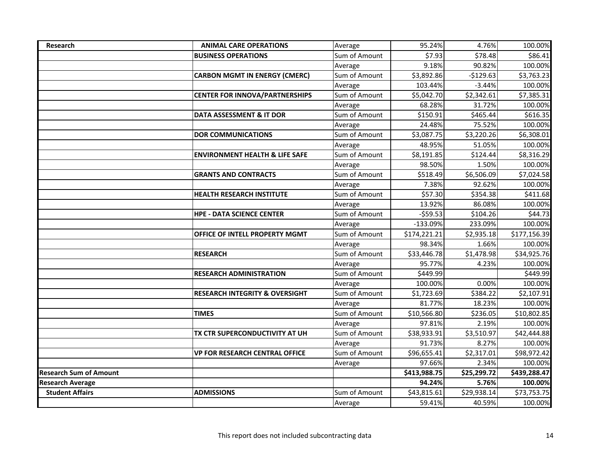| <b>Research</b>               | <b>ANIMAL CARE OPERATIONS</b>             | Average       | 95.24%       | 4.76%       | 100.00%      |
|-------------------------------|-------------------------------------------|---------------|--------------|-------------|--------------|
|                               | <b>BUSINESS OPERATIONS</b>                | Sum of Amount | \$7.93       | \$78.48     | \$86.41      |
|                               |                                           | Average       | 9.18%        | 90.82%      | 100.00%      |
|                               | <b>CARBON MGMT IN ENERGY (CMERC)</b>      | Sum of Amount | \$3,892.86   | $-$129.63$  | \$3,763.23   |
|                               |                                           | Average       | 103.44%      | $-3.44%$    | 100.00%      |
|                               | <b>CENTER FOR INNOVA/PARTNERSHIPS</b>     | Sum of Amount | \$5,042.70   | \$2,342.61  | \$7,385.31   |
|                               |                                           | Average       | 68.28%       | 31.72%      | 100.00%      |
|                               | <b>DATA ASSESSMENT &amp; IT DOR</b>       | Sum of Amount | \$150.91     | \$465.44    | \$616.35     |
|                               |                                           | Average       | 24.48%       | 75.52%      | 100.00%      |
|                               | <b>DOR COMMUNICATIONS</b>                 | Sum of Amount | \$3,087.75   | \$3,220.26  | \$6,308.01   |
|                               |                                           | Average       | 48.95%       | 51.05%      | 100.00%      |
|                               | <b>ENVIRONMENT HEALTH &amp; LIFE SAFE</b> | Sum of Amount | \$8,191.85   | \$124.44    | \$8,316.29   |
|                               |                                           | Average       | 98.50%       | 1.50%       | 100.00%      |
|                               | <b>GRANTS AND CONTRACTS</b>               | Sum of Amount | \$518.49     | \$6,506.09  | \$7,024.58   |
|                               |                                           | Average       | 7.38%        | 92.62%      | 100.00%      |
|                               | <b>HEALTH RESEARCH INSTITUTE</b>          | Sum of Amount | \$57.30      | \$354.38    | \$411.68     |
|                               |                                           | Average       | 13.92%       | 86.08%      | 100.00%      |
|                               | <b>HPE - DATA SCIENCE CENTER</b>          | Sum of Amount | $-559.53$    | \$104.26    | \$44.73      |
|                               |                                           | Average       | $-133.09%$   | 233.09%     | 100.00%      |
|                               | OFFICE OF INTELL PROPERTY MGMT            | Sum of Amount | \$174,221.21 | \$2,935.18  | \$177,156.39 |
|                               |                                           | Average       | 98.34%       | 1.66%       | 100.00%      |
|                               | <b>RESEARCH</b>                           | Sum of Amount | \$33,446.78  | \$1,478.98  | \$34,925.76  |
|                               |                                           | Average       | 95.77%       | 4.23%       | 100.00%      |
|                               | <b>RESEARCH ADMINISTRATION</b>            | Sum of Amount | \$449.99     |             | \$449.99     |
|                               |                                           | Average       | 100.00%      | 0.00%       | 100.00%      |
|                               | <b>RESEARCH INTEGRITY &amp; OVERSIGHT</b> | Sum of Amount | \$1,723.69   | \$384.22    | \$2,107.91   |
|                               |                                           | Average       | 81.77%       | 18.23%      | 100.00%      |
|                               | <b>TIMES</b>                              | Sum of Amount | \$10,566.80  | \$236.05    | \$10,802.85  |
|                               |                                           | Average       | 97.81%       | 2.19%       | 100.00%      |
|                               | TX CTR SUPERCONDUCTIVITY AT UH            | Sum of Amount | \$38,933.91  | \$3,510.97  | \$42,444.88  |
|                               |                                           | Average       | 91.73%       | 8.27%       | 100.00%      |
|                               | <b>VP FOR RESEARCH CENTRAL OFFICE</b>     | Sum of Amount | \$96,655.41  | \$2,317.01  | \$98,972.42  |
|                               |                                           | Average       | 97.66%       | 2.34%       | 100.00%      |
| <b>Research Sum of Amount</b> |                                           |               | \$413,988.75 | \$25,299.72 | \$439,288.47 |
| <b>Research Average</b>       |                                           |               | 94.24%       | 5.76%       | 100.00%      |
| <b>Student Affairs</b>        | <b>ADMISSIONS</b>                         | Sum of Amount | \$43,815.61  | \$29,938.14 | \$73,753.75  |
|                               |                                           | Average       | 59.41%       | 40.59%      | 100.00%      |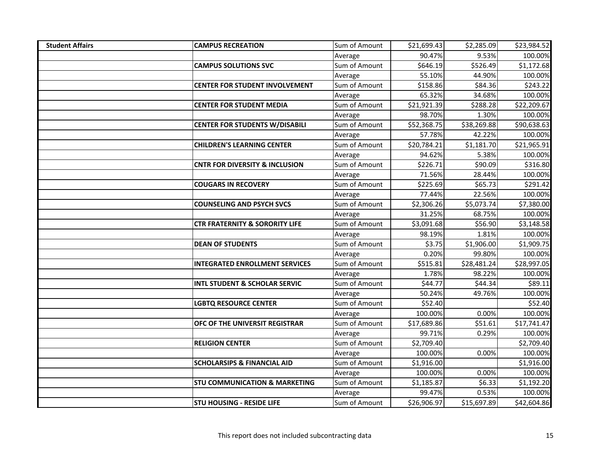| <b>Student Affairs</b> | <b>CAMPUS RECREATION</b>                  | Sum of Amount | \$21,699.43 | \$2,285.09  | \$23,984.52 |
|------------------------|-------------------------------------------|---------------|-------------|-------------|-------------|
|                        |                                           | Average       | 90.47%      | 9.53%       | 100.00%     |
|                        | <b>CAMPUS SOLUTIONS SVC</b>               | Sum of Amount | \$646.19    | \$526.49    | \$1,172.68  |
|                        |                                           | Average       | 55.10%      | 44.90%      | 100.00%     |
|                        | <b>CENTER FOR STUDENT INVOLVEMENT</b>     | Sum of Amount | \$158.86    | \$84.36     | \$243.22    |
|                        |                                           | Average       | 65.32%      | 34.68%      | 100.00%     |
|                        | <b>CENTER FOR STUDENT MEDIA</b>           | Sum of Amount | \$21,921.39 | \$288.28    | \$22,209.67 |
|                        |                                           | Average       | 98.70%      | 1.30%       | 100.00%     |
|                        | <b>CENTER FOR STUDENTS W/DISABILI</b>     | Sum of Amount | \$52,368.75 | \$38,269.88 | \$90,638.63 |
|                        |                                           | Average       | 57.78%      | 42.22%      | 100.00%     |
|                        | <b>CHILDREN'S LEARNING CENTER</b>         | Sum of Amount | \$20,784.21 | \$1,181.70  | \$21,965.91 |
|                        |                                           | Average       | 94.62%      | 5.38%       | 100.00%     |
|                        | <b>CNTR FOR DIVERSITY &amp; INCLUSION</b> | Sum of Amount | \$226.71    | \$90.09     | \$316.80    |
|                        |                                           | Average       | 71.56%      | 28.44%      | 100.00%     |
|                        | <b>COUGARS IN RECOVERY</b>                | Sum of Amount | \$225.69    | \$65.73     | \$291.42    |
|                        |                                           | Average       | 77.44%      | 22.56%      | 100.00%     |
|                        | <b>COUNSELING AND PSYCH SVCS</b>          | Sum of Amount | \$2,306.26  | \$5,073.74  | \$7,380.00  |
|                        |                                           | Average       | 31.25%      | 68.75%      | 100.00%     |
|                        | <b>CTR FRATERNITY &amp; SORORITY LIFE</b> | Sum of Amount | \$3,091.68  | \$56.90     | \$3,148.58  |
|                        |                                           | Average       | 98.19%      | 1.81%       | 100.00%     |
|                        | <b>DEAN OF STUDENTS</b>                   | Sum of Amount | \$3.75      | \$1,906.00  | \$1,909.75  |
|                        |                                           | Average       | 0.20%       | 99.80%      | 100.00%     |
|                        | <b>INTEGRATED ENROLLMENT SERVICES</b>     | Sum of Amount | \$515.81    | \$28,481.24 | \$28,997.05 |
|                        |                                           | Average       | 1.78%       | 98.22%      | 100.00%     |
|                        | <b>INTL STUDENT &amp; SCHOLAR SERVIC</b>  | Sum of Amount | \$44.77     | \$44.34     | \$89.11     |
|                        |                                           | Average       | 50.24%      | 49.76%      | 100.00%     |
|                        | <b>LGBTQ RESOURCE CENTER</b>              | Sum of Amount | \$52.40     |             | \$52.40     |
|                        |                                           | Average       | 100.00%     | 0.00%       | 100.00%     |
|                        | OFC OF THE UNIVERSIT REGISTRAR            | Sum of Amount | \$17,689.86 | \$51.61     | \$17,741.47 |
|                        |                                           | Average       | 99.71%      | 0.29%       | 100.00%     |
|                        | <b>RELIGION CENTER</b>                    | Sum of Amount | \$2,709.40  |             | \$2,709.40  |
|                        |                                           | Average       | 100.00%     | 0.00%       | 100.00%     |
|                        | <b>SCHOLARSIPS &amp; FINANCIAL AID</b>    | Sum of Amount | \$1,916.00  |             | \$1,916.00  |
|                        |                                           | Average       | 100.00%     | 0.00%       | 100.00%     |
|                        | <b>STU COMMUNICATION &amp; MARKETING</b>  | Sum of Amount | \$1,185.87  | \$6.33      | \$1,192.20  |
|                        |                                           | Average       | 99.47%      | 0.53%       | 100.00%     |
|                        | <b>STU HOUSING - RESIDE LIFE</b>          | Sum of Amount | \$26,906.97 | \$15,697.89 | \$42,604.86 |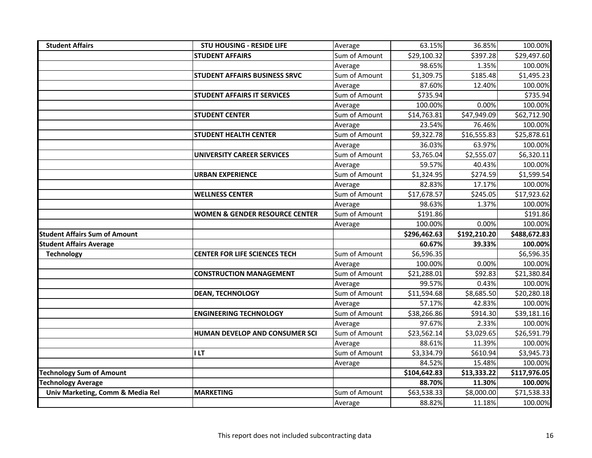| <b>Student Affairs</b>               | <b>STU HOUSING - RESIDE LIFE</b>          | Average                  | 63.15%                | 36.85%               | 100.00%                |
|--------------------------------------|-------------------------------------------|--------------------------|-----------------------|----------------------|------------------------|
|                                      | <b>STUDENT AFFAIRS</b>                    | Sum of Amount            | \$29,100.32           | \$397.28             | \$29,497.60            |
|                                      |                                           | Average                  | 98.65%                | 1.35%                | 100.00%                |
|                                      | STUDENT AFFAIRS BUSINESS SRVC             | Sum of Amount            | \$1,309.75            | \$185.48             | \$1,495.23             |
|                                      |                                           | Average                  | 87.60%                | 12.40%               | 100.00%                |
|                                      | <b>STUDENT AFFAIRS IT SERVICES</b>        | Sum of Amount            | \$735.94              |                      | \$735.94               |
|                                      |                                           | Average                  | 100.00%               | 0.00%                | 100.00%                |
|                                      | <b>STUDENT CENTER</b>                     | Sum of Amount            | \$14,763.81           | \$47,949.09          | \$62,712.90            |
|                                      |                                           | Average                  | 23.54%                | 76.46%               | 100.00%                |
|                                      | <b>STUDENT HEALTH CENTER</b>              | Sum of Amount            | \$9,322.78            | \$16,555.83          | \$25,878.61            |
|                                      |                                           | Average                  | 36.03%                | 63.97%               | 100.00%                |
|                                      | <b>UNIVERSITY CAREER SERVICES</b>         | Sum of Amount            | \$3,765.04            | \$2,555.07           | \$6,320.11             |
|                                      |                                           | Average                  | 59.57%                | 40.43%               | 100.00%                |
|                                      | <b>URBAN EXPERIENCE</b>                   | Sum of Amount            | \$1,324.95            | \$274.59             | \$1,599.54             |
|                                      |                                           | Average                  | 82.83%                | 17.17%               | 100.00%                |
|                                      | <b>WELLNESS CENTER</b>                    | Sum of Amount            | \$17,678.57           | \$245.05             | \$17,923.62            |
|                                      |                                           | Average                  | 98.63%                | 1.37%                | 100.00%                |
|                                      | <b>WOMEN &amp; GENDER RESOURCE CENTER</b> | Sum of Amount            | \$191.86              |                      | \$191.86               |
|                                      |                                           | Average                  | 100.00%               | 0.00%                | 100.00%                |
|                                      |                                           |                          |                       |                      |                        |
| <b>Student Affairs Sum of Amount</b> |                                           |                          | \$296,462.63          | \$192,210.20         | \$488,672.83           |
| <b>Student Affairs Average</b>       |                                           |                          | 60.67%                | 39.33%               | 100.00%                |
| <b>Technology</b>                    | <b>CENTER FOR LIFE SCIENCES TECH</b>      | Sum of Amount            | \$6,596.35            |                      | \$6,596.35             |
|                                      |                                           | Average                  | 100.00%               | 0.00%                | 100.00%                |
|                                      | <b>CONSTRUCTION MANAGEMENT</b>            | Sum of Amount            | \$21,288.01           | \$92.83              | \$21,380.84            |
|                                      |                                           | Average                  | 99.57%                | 0.43%                | 100.00%                |
|                                      | <b>DEAN, TECHNOLOGY</b>                   | Sum of Amount            | \$11,594.68           | \$8,685.50           | \$20,280.18            |
|                                      |                                           | Average                  | 57.17%                | 42.83%               | 100.00%                |
|                                      | <b>ENGINEERING TECHNOLOGY</b>             | Sum of Amount            | \$38,266.86           | \$914.30             | \$39,181.16            |
|                                      |                                           | Average                  | 97.67%                | 2.33%                | 100.00%                |
|                                      | HUMAN DEVELOP AND CONSUMER SCI            | Sum of Amount            | \$23,562.14           | \$3,029.65           | \$26,591.79            |
|                                      |                                           | Average                  | 88.61%                | 11.39%               | 100.00%                |
|                                      | <b>ILT</b>                                | Sum of Amount            | \$3,334.79            | \$610.94             | \$3,945.73             |
|                                      |                                           | Average                  | 84.52%                | 15.48%               | 100.00%                |
| <b>Technology Sum of Amount</b>      |                                           |                          | \$104,642.83          | \$13,333.22          | \$117,976.05           |
| <b>Technology Average</b>            |                                           |                          | 88.70%                | 11.30%               | 100.00%                |
| Univ Marketing, Comm & Media Rel     | <b>MARKETING</b>                          | Sum of Amount<br>Average | \$63,538.33<br>88.82% | \$8,000.00<br>11.18% | \$71,538.33<br>100.00% |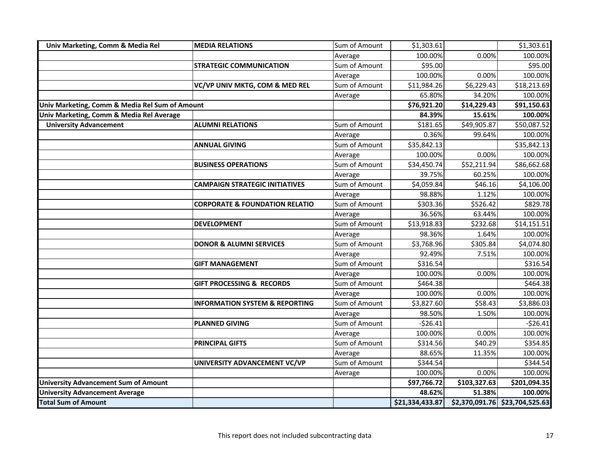| Univ Marketing, Comm & Media Rel               | <b>MEDIA RELATIONS</b>                    | Sum of Amount | \$1,303.61      |              | \$1,303.61                     |
|------------------------------------------------|-------------------------------------------|---------------|-----------------|--------------|--------------------------------|
|                                                |                                           | Average       | 100.00%         | 0.00%        | 100.00%                        |
|                                                | <b>STRATEGIC COMMUNICATION</b>            | Sum of Amount | \$95.00         |              | \$95.00                        |
|                                                |                                           | Average       | 100.00%         | 0.00%        | 100.00%                        |
|                                                | VC/VP UNIV MKTG, COM & MED REL            | Sum of Amount | \$11,984.26     | \$6,229.43   | \$18,213.69                    |
|                                                |                                           | Average       | 65.80%          | 34.20%       | 100.00%                        |
| Univ Marketing, Comm & Media Rel Sum of Amount |                                           |               | \$76,921.20     | \$14,229.43  | \$91,150.63                    |
| Univ Marketing, Comm & Media Rel Average       |                                           |               | 84.39%          | 15.61%       | 100.00%                        |
| <b>University Advancement</b>                  | <b>ALUMNI RELATIONS</b>                   | Sum of Amount | \$181.65        | \$49,905.87  | \$50,087.52                    |
|                                                |                                           | Average       | 0.36%           | 99.64%       | 100.00%                        |
|                                                | <b>ANNUAL GIVING</b>                      | Sum of Amount | \$35,842.13     |              | \$35,842.13                    |
|                                                |                                           | Average       | 100.00%         | 0.00%        | 100.00%                        |
|                                                | <b>BUSINESS OPERATIONS</b>                | Sum of Amount | \$34,450.74     | \$52,211.94  | \$86,662.68                    |
|                                                |                                           | Average       | 39.75%          | 60.25%       | 100.00%                        |
|                                                | <b>CAMPAIGN STRATEGIC INITIATIVES</b>     | Sum of Amount | \$4,059.84      | \$46.16      | \$4,106.00                     |
|                                                |                                           | Average       | 98.88%          | 1.12%        | 100.00%                        |
|                                                | <b>CORPORATE &amp; FOUNDATION RELATIO</b> | Sum of Amount | \$303.36        | \$526.42     | \$829.78                       |
|                                                |                                           | Average       | 36.56%          | 63.44%       | 100.00%                        |
|                                                | <b>DEVELOPMENT</b>                        | Sum of Amount | \$13,918.83     | \$232.68     | \$14,151.51                    |
|                                                |                                           | Average       | 98.36%          | 1.64%        | 100.00%                        |
|                                                | <b>DONOR &amp; ALUMNI SERVICES</b>        | Sum of Amount | \$3,768.96      | \$305.84     | \$4,074.80                     |
|                                                |                                           | Average       | 92.49%          | 7.51%        | 100.00%                        |
|                                                | <b>GIFT MANAGEMENT</b>                    | Sum of Amount | \$316.54        |              | \$316.54                       |
|                                                |                                           | Average       | 100.00%         | 0.00%        | 100.00%                        |
|                                                | <b>GIFT PROCESSING &amp; RECORDS</b>      | Sum of Amount | \$464.38        |              | \$464.38                       |
|                                                |                                           | Average       | 100.00%         | 0.00%        | 100.00%                        |
|                                                | <b>INFORMATION SYSTEM &amp; REPORTING</b> | Sum of Amount | \$3,827.60      | \$58.43      | \$3,886.03                     |
|                                                |                                           | Average       | 98.50%          | 1.50%        | 100.00%                        |
|                                                | <b>PLANNED GIVING</b>                     | Sum of Amount | $-526.41$       |              | $-526.41$                      |
|                                                |                                           | Average       | 100.00%         | 0.00%        | 100.00%                        |
|                                                | <b>PRINCIPAL GIFTS</b>                    | Sum of Amount | \$314.56        | \$40.29      | \$354.85                       |
|                                                |                                           | Average       | 88.65%          | 11.35%       | 100.00%                        |
|                                                | UNIVERSITY ADVANCEMENT VC/VP              | Sum of Amount | \$344.54        |              | \$344.54                       |
|                                                |                                           | Average       | 100.00%         | 0.00%        | 100.00%                        |
| <b>University Advancement Sum of Amount</b>    |                                           |               | \$97,766.72     | \$103,327.63 | \$201,094.35                   |
| <b>University Advancement Average</b>          |                                           |               | 48.62%          | 51.38%       | 100.00%                        |
| <b>Total Sum of Amount</b>                     |                                           |               | \$21,334,433.87 |              | \$2,370,091.76 \$23,704,525.63 |